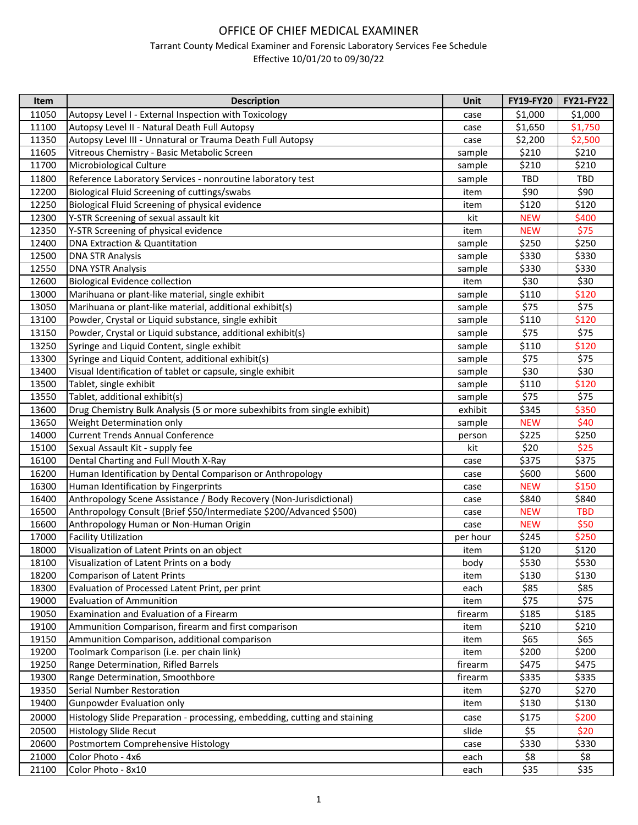## OFFICE OF CHIEF MEDICAL EXAMINER

## Tarrant County Medical Examiner and Forensic Laboratory Services Fee Schedule

Effective 10/01/20 to 09/30/22

| Item  | <b>Description</b>                                                        | Unit     | FY19-FY20  | <b>FY21-FY22</b> |
|-------|---------------------------------------------------------------------------|----------|------------|------------------|
| 11050 | Autopsy Level I - External Inspection with Toxicology                     | case     | \$1,000    | \$1,000          |
| 11100 | Autopsy Level II - Natural Death Full Autopsy                             | case     | \$1,650    | \$1,750          |
| 11350 | Autopsy Level III - Unnatural or Trauma Death Full Autopsy                | case     | \$2,200    | \$2,500          |
| 11605 | Vitreous Chemistry - Basic Metabolic Screen                               | sample   | \$210      | \$210            |
| 11700 | Microbiological Culture                                                   | sample   | \$210      | \$210            |
| 11800 | Reference Laboratory Services - nonroutine laboratory test                | sample   | TBD        | TBD              |
| 12200 | Biological Fluid Screening of cuttings/swabs                              | item     | \$90       | \$90             |
| 12250 | Biological Fluid Screening of physical evidence                           | item     | \$120      | \$120            |
| 12300 | Y-STR Screening of sexual assault kit                                     | kit      | <b>NEW</b> | \$400            |
| 12350 | Y-STR Screening of physical evidence                                      | item     | <b>NEW</b> | \$75             |
| 12400 | DNA Extraction & Quantitation                                             | sample   | \$250      | \$250            |
| 12500 | <b>DNA STR Analysis</b>                                                   | sample   | \$330      | \$330            |
| 12550 | <b>DNA YSTR Analysis</b>                                                  | sample   | \$330      | \$330            |
| 12600 | <b>Biological Evidence collection</b>                                     | item     | \$30       | \$30             |
| 13000 | Marihuana or plant-like material, single exhibit                          | sample   | \$110      | \$120            |
| 13050 | Marihuana or plant-like material, additional exhibit(s)                   | sample   | \$75       | \$75             |
| 13100 | Powder, Crystal or Liquid substance, single exhibit                       | sample   | \$110      | \$120            |
| 13150 | Powder, Crystal or Liquid substance, additional exhibit(s)                | sample   | \$75       | \$75             |
| 13250 | Syringe and Liquid Content, single exhibit                                | sample   | \$110      | \$120            |
| 13300 | Syringe and Liquid Content, additional exhibit(s)                         | sample   | \$75       | \$75             |
| 13400 | Visual Identification of tablet or capsule, single exhibit                | sample   | \$30       | \$30             |
| 13500 | Tablet, single exhibit                                                    | sample   | \$110      | \$120            |
| 13550 | Tablet, additional exhibit(s)                                             | sample   | \$75       | \$75             |
| 13600 | Drug Chemistry Bulk Analysis (5 or more subexhibits from single exhibit)  | exhibit  | \$345      | \$350            |
| 13650 | Weight Determination only                                                 | sample   | <b>NEW</b> | \$40             |
| 14000 | <b>Current Trends Annual Conference</b>                                   | person   | \$225      | \$250            |
| 15100 | Sexual Assault Kit - supply fee                                           | kit      | \$20       | \$25             |
| 16100 | Dental Charting and Full Mouth X-Ray                                      | case     | \$375      | \$375            |
| 16200 | Human Identification by Dental Comparison or Anthropology                 | case     | \$600      | \$600            |
| 16300 | Human Identification by Fingerprints                                      | case     | <b>NEW</b> | \$150            |
| 16400 | Anthropology Scene Assistance / Body Recovery (Non-Jurisdictional)        | case     | \$840      | \$840            |
| 16500 | Anthropology Consult (Brief \$50/Intermediate \$200/Advanced \$500)       | case     | <b>NEW</b> | <b>TBD</b>       |
| 16600 | Anthropology Human or Non-Human Origin                                    | case     | <b>NEW</b> | \$50             |
| 17000 | <b>Facility Utilization</b>                                               | per hour | \$245      | \$250            |
| 18000 | Visualization of Latent Prints on an object                               | item     | \$120      | \$120            |
| 18100 | Visualization of Latent Prints on a body                                  | body     | \$530      | \$530            |
| 18200 | <b>Comparison of Latent Prints</b>                                        | item     | \$130      | \$130            |
| 18300 | Evaluation of Processed Latent Print, per print                           | each     | \$85       | \$85             |
| 19000 | <b>Evaluation of Ammunition</b>                                           | item     | \$75       | \$75             |
| 19050 | Examination and Evaluation of a Firearm                                   | firearm  | \$185      | \$185            |
| 19100 | Ammunition Comparison, firearm and first comparison                       | item     | \$210      | \$210            |
| 19150 | Ammunition Comparison, additional comparison                              | item     | \$65       | \$65             |
| 19200 | Toolmark Comparison (i.e. per chain link)                                 | item     | \$200      | \$200            |
| 19250 | Range Determination, Rifled Barrels                                       | firearm  | \$475      | \$475            |
| 19300 | Range Determination, Smoothbore                                           | firearm  | \$335      | \$335            |
| 19350 | Serial Number Restoration                                                 | item     | \$270      | \$270            |
| 19400 | <b>Gunpowder Evaluation only</b>                                          | item     | \$130      | \$130            |
| 20000 | Histology Slide Preparation - processing, embedding, cutting and staining | case     | \$175      | \$200            |
| 20500 | <b>Histology Slide Recut</b>                                              | slide    | \$5        | \$20             |
| 20600 | Postmortem Comprehensive Histology                                        | case     | \$330      | \$330            |
| 21000 | Color Photo - 4x6                                                         | each     | \$8        | \$8              |
| 21100 | Color Photo - 8x10                                                        | each     | \$35       | \$35             |